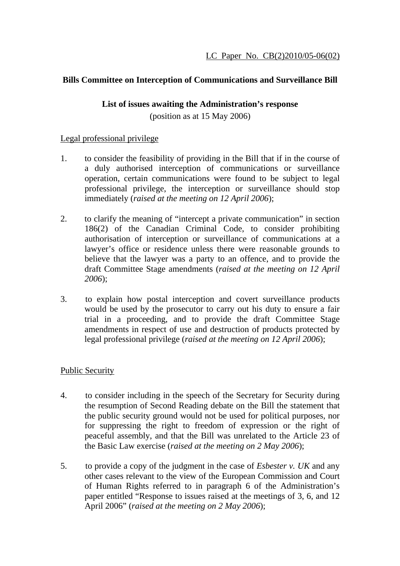### **Bills Committee on Interception of Communications and Surveillance Bill**

#### **List of issues awaiting the Administration's response**

(position as at 15 May 2006)

### Legal professional privilege

- 1. to consider the feasibility of providing in the Bill that if in the course of a duly authorised interception of communications or surveillance operation, certain communications were found to be subject to legal professional privilege, the interception or surveillance should stop immediately (*raised at the meeting on 12 April 2006*);
- 2. to clarify the meaning of "intercept a private communication" in section 186(2) of the Canadian Criminal Code, to consider prohibiting authorisation of interception or surveillance of communications at a lawyer's office or residence unless there were reasonable grounds to believe that the lawyer was a party to an offence, and to provide the draft Committee Stage amendments (*raised at the meeting on 12 April 2006*);
- 3. to explain how postal interception and covert surveillance products would be used by the prosecutor to carry out his duty to ensure a fair trial in a proceeding, and to provide the draft Committee Stage amendments in respect of use and destruction of products protected by legal professional privilege (*raised at the meeting on 12 April 2006*);

## Public Security

- 4. to consider including in the speech of the Secretary for Security during the resumption of Second Reading debate on the Bill the statement that the public security ground would not be used for political purposes, nor for suppressing the right to freedom of expression or the right of peaceful assembly, and that the Bill was unrelated to the Article 23 of the Basic Law exercise (*raised at the meeting on 2 May 2006*);
- 5. to provide a copy of the judgment in the case of *Esbester v. UK* and any other cases relevant to the view of the European Commission and Court of Human Rights referred to in paragraph 6 of the Administration's paper entitled "Response to issues raised at the meetings of 3, 6, and 12 April 2006" (*raised at the meeting on 2 May 2006*);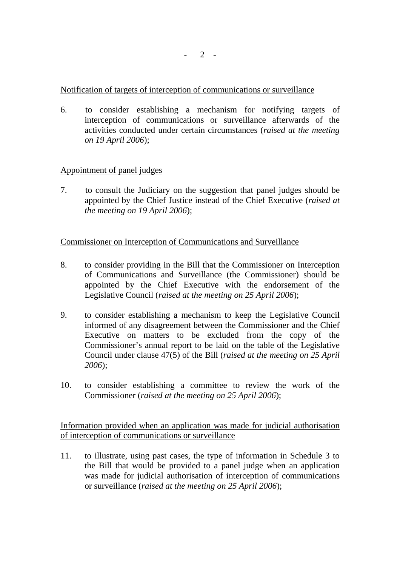Notification of targets of interception of communications or surveillance

6. to consider establishing a mechanism for notifying targets of interception of communications or surveillance afterwards of the activities conducted under certain circumstances (*raised at the meeting on 19 April 2006*);

## Appointment of panel judges

7. to consult the Judiciary on the suggestion that panel judges should be appointed by the Chief Justice instead of the Chief Executive (*raised at the meeting on 19 April 2006*);

# Commissioner on Interception of Communications and Surveillance

- 8. to consider providing in the Bill that the Commissioner on Interception of Communications and Surveillance (the Commissioner) should be appointed by the Chief Executive with the endorsement of the Legislative Council (*raised at the meeting on 25 April 2006*);
- 9. to consider establishing a mechanism to keep the Legislative Council informed of any disagreement between the Commissioner and the Chief Executive on matters to be excluded from the copy of the Commissioner's annual report to be laid on the table of the Legislative Council under clause 47(5) of the Bill (*raised at the meeting on 25 April 2006*);
- 10. to consider establishing a committee to review the work of the Commissioner (*raised at the meeting on 25 April 2006*);

Information provided when an application was made for judicial authorisation of interception of communications or surveillance

11. to illustrate, using past cases, the type of information in Schedule 3 to the Bill that would be provided to a panel judge when an application was made for judicial authorisation of interception of communications or surveillance (*raised at the meeting on 25 April 2006*);